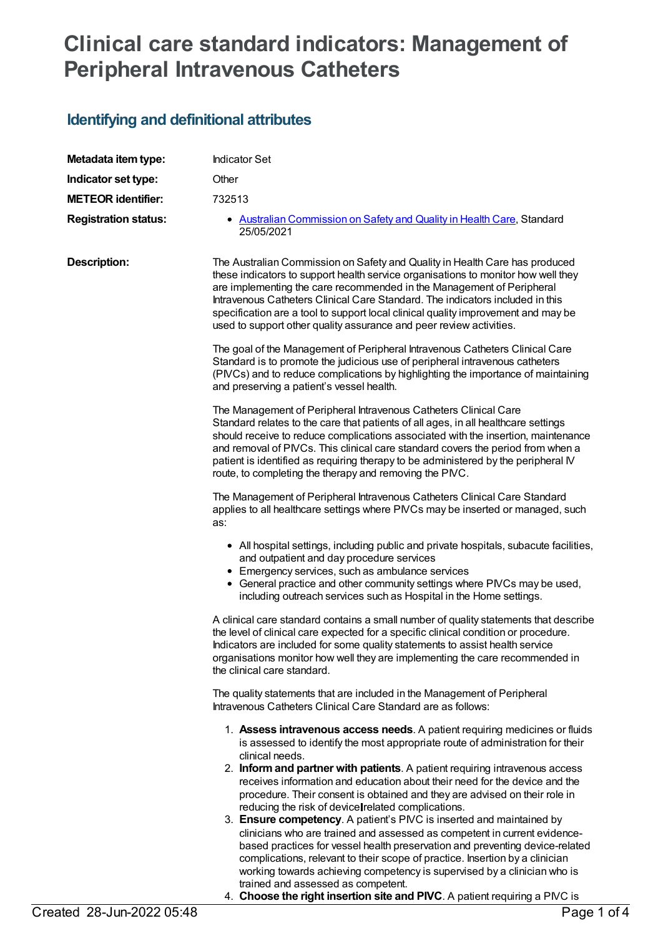# **Clinical care standard indicators: Management of Peripheral Intravenous Catheters**

## **Identifying and definitional attributes**

| Metadata item type:         | <b>Indicator Set</b>                                                                                                                                                                                                                                                                                                                                                                                                                                                                                                                                                                                                                                                                                                                                                                                                                                                                                                                                                                                   |
|-----------------------------|--------------------------------------------------------------------------------------------------------------------------------------------------------------------------------------------------------------------------------------------------------------------------------------------------------------------------------------------------------------------------------------------------------------------------------------------------------------------------------------------------------------------------------------------------------------------------------------------------------------------------------------------------------------------------------------------------------------------------------------------------------------------------------------------------------------------------------------------------------------------------------------------------------------------------------------------------------------------------------------------------------|
| Indicator set type:         | Other                                                                                                                                                                                                                                                                                                                                                                                                                                                                                                                                                                                                                                                                                                                                                                                                                                                                                                                                                                                                  |
| <b>METEOR identifier:</b>   | 732513                                                                                                                                                                                                                                                                                                                                                                                                                                                                                                                                                                                                                                                                                                                                                                                                                                                                                                                                                                                                 |
| <b>Registration status:</b> | • Australian Commission on Safety and Quality in Health Care, Standard<br>25/05/2021                                                                                                                                                                                                                                                                                                                                                                                                                                                                                                                                                                                                                                                                                                                                                                                                                                                                                                                   |
| <b>Description:</b>         | The Australian Commission on Safety and Quality in Health Care has produced<br>these indicators to support health service organisations to monitor how well they<br>are implementing the care recommended in the Management of Peripheral<br>Intravenous Catheters Clinical Care Standard. The indicators included in this<br>specification are a tool to support local clinical quality improvement and may be<br>used to support other quality assurance and peer review activities.                                                                                                                                                                                                                                                                                                                                                                                                                                                                                                                 |
|                             | The goal of the Management of Peripheral Intravenous Catheters Clinical Care<br>Standard is to promote the judicious use of peripheral intravenous catheters<br>(PIVCs) and to reduce complications by highlighting the importance of maintaining<br>and preserving a patient's vessel health.                                                                                                                                                                                                                                                                                                                                                                                                                                                                                                                                                                                                                                                                                                         |
|                             | The Management of Peripheral Intravenous Catheters Clinical Care<br>Standard relates to the care that patients of all ages, in all healthcare settings<br>should receive to reduce complications associated with the insertion, maintenance<br>and removal of PIVCs. This clinical care standard covers the period from when a<br>patient is identified as requiring therapy to be administered by the peripheral IV<br>route, to completing the therapy and removing the PNC.                                                                                                                                                                                                                                                                                                                                                                                                                                                                                                                         |
|                             | The Management of Peripheral Intravenous Catheters Clinical Care Standard<br>applies to all healthcare settings where PIVCs may be inserted or managed, such<br>as:                                                                                                                                                                                                                                                                                                                                                                                                                                                                                                                                                                                                                                                                                                                                                                                                                                    |
|                             | • All hospital settings, including public and private hospitals, subacute facilities,<br>and outpatient and day procedure services<br>• Emergency services, such as ambulance services<br>• General practice and other community settings where PIVCs may be used,<br>including outreach services such as Hospital in the Home settings.                                                                                                                                                                                                                                                                                                                                                                                                                                                                                                                                                                                                                                                               |
|                             | A clinical care standard contains a small number of quality statements that describe<br>the level of clinical care expected for a specific clinical condition or procedure.<br>Indicators are included for some quality statements to assist health service<br>organisations monitor how well they are implementing the care recommended in<br>the clinical care standard.                                                                                                                                                                                                                                                                                                                                                                                                                                                                                                                                                                                                                             |
|                             | The quality statements that are included in the Management of Peripheral<br>Intravenous Catheters Clinical Care Standard are as follows:                                                                                                                                                                                                                                                                                                                                                                                                                                                                                                                                                                                                                                                                                                                                                                                                                                                               |
|                             | 1. Assess intravenous access needs. A patient requiring medicines or fluids<br>is assessed to identify the most appropriate route of administration for their<br>clinical needs.<br>2. Inform and partner with patients. A patient requiring intravenous access<br>receives information and education about their need for the device and the<br>procedure. Their consent is obtained and they are advised on their role in<br>reducing the risk of device related complications.<br>3. Ensure competency. A patient's PIVC is inserted and maintained by<br>clinicians who are trained and assessed as competent in current evidence-<br>based practices for vessel health preservation and preventing device-related<br>complications, relevant to their scope of practice. Insertion by a clinician<br>working towards achieving competency is supervised by a clinician who is<br>trained and assessed as competent.<br>4. Choose the right insertion site and PIVC. A patient requiring a PIVC is |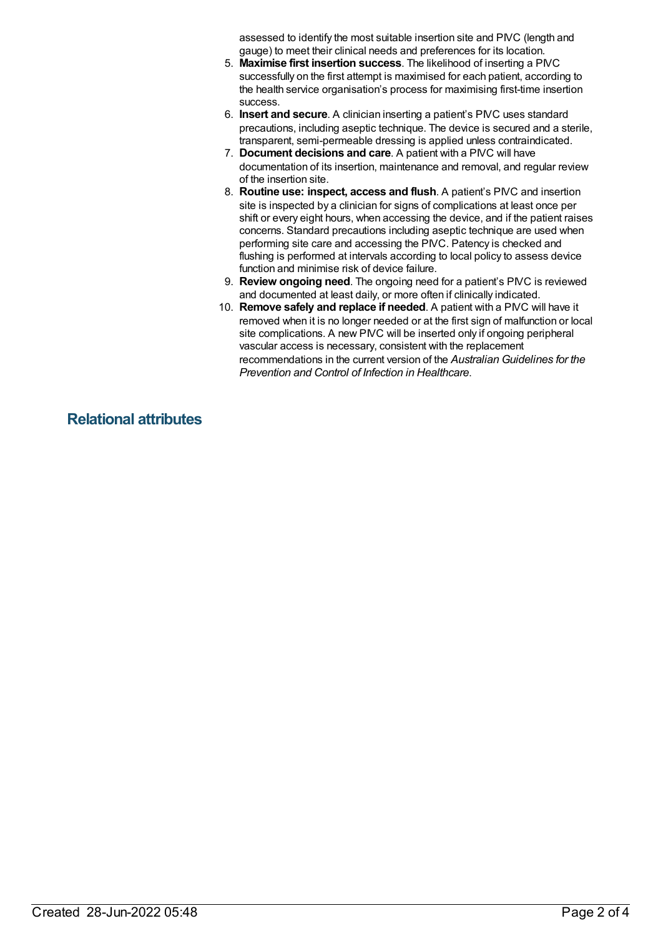assessed to identify the most suitable insertion site and PIVC (length and gauge) to meet their clinical needs and preferences for its location.

- 5. **Maximise first insertion success**. The likelihood of inserting a PIVC successfully on the first attempt is maximised for each patient, according to the health service organisation's process for maximising first-time insertion success.
- 6. **Insert and secure**. A clinician inserting a patient's PIVC uses standard precautions, including aseptic technique. The device is secured and a sterile, transparent, semi-permeable dressing is applied unless contraindicated.
- 7. **Document decisions and care**. A patient with a PIVC will have documentation of its insertion, maintenance and removal, and regular review of the insertion site.
- 8. **Routine use: inspect, access and flush**. A patient's PIVC and insertion site is inspected by a clinician for signs of complications at least once per shift or every eight hours, when accessing the device, and if the patient raises concerns. Standard precautions including aseptic technique are used when performing site care and accessing the PIVC. Patency is checked and flushing is performed at intervals according to local policy to assess device function and minimise risk of device failure.
- 9. **Review ongoing need**. The ongoing need for a patient's PIVC is reviewed and documented at least daily, or more often if clinically indicated.
- 10. **Remove safely and replace if needed**. A patient with a PIVC will have it removed when it is no longer needed or at the first sign of malfunction or local site complications. A new PIVC will be inserted only if ongoing peripheral vascular access is necessary, consistent with the replacement recommendations in the current version of the *Australian Guidelines for the Prevention and Control of Infection in Healthcare*.

### **Relational attributes**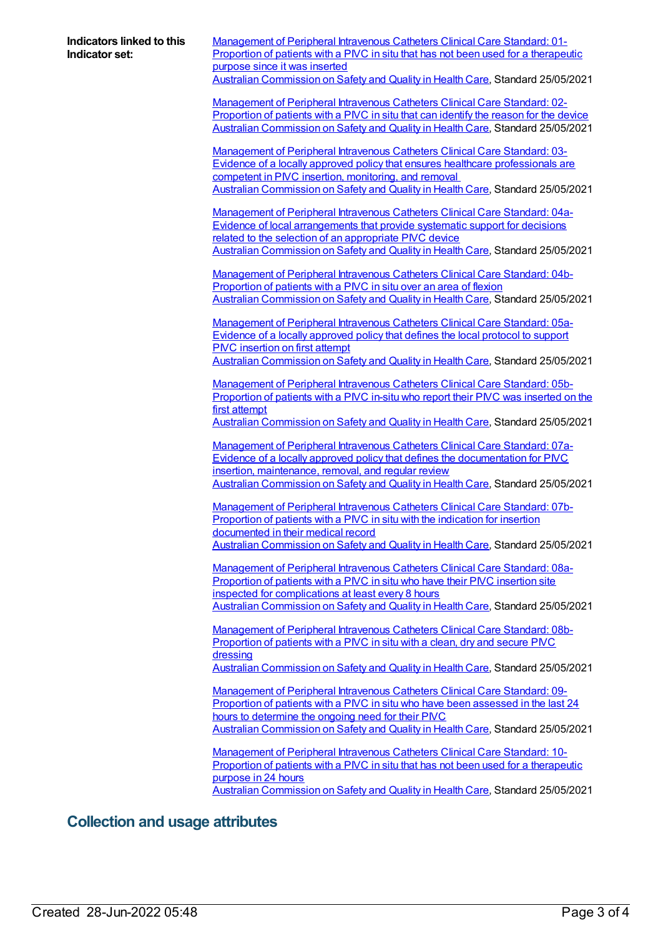**Indicators linked to this Indicator set:** [Management](https://meteor.aihw.gov.au/content/732533) of Peripheral Intravenous Catheters Clinical Care Standard: 01- Proportion of patients with a PIVC in situ that has not been used for a therapeutic purpose since it was inserted Australian [Commission](https://meteor.aihw.gov.au/RegistrationAuthority/18) on Safety and Quality in Health Care, Standard 25/05/2021 [Management](https://meteor.aihw.gov.au/content/732553) of Peripheral Intravenous Catheters Clinical Care Standard: 02- Proportion of patients with a PIVC in situ that can identify the reason for the device Australian [Commission](https://meteor.aihw.gov.au/RegistrationAuthority/18) on Safety and Quality in Health Care, Standard 25/05/2021 Management of Peripheral Intravenous Catheters Clinical Care Standard: 03-Evidence of a locally approved policy that ensures healthcare [professionals](https://meteor.aihw.gov.au/content/732559) are competent in PIVC insertion, monitoring, and removal Australian [Commission](https://meteor.aihw.gov.au/RegistrationAuthority/18) on Safety and Quality in Health Care, Standard 25/05/2021 Management of Peripheral Intravenous Catheters Clinical Care Standard: 04a-Evidence of local [arrangements](https://meteor.aihw.gov.au/content/733358) that provide systematic support for decisions related to the selection of an appropriate PIVC device Australian [Commission](https://meteor.aihw.gov.au/RegistrationAuthority/18) on Safety and Quality in Health Care, Standard 25/05/2021 [Management](https://meteor.aihw.gov.au/content/733360) of Peripheral Intravenous Catheters Clinical Care Standard: 04b-Proportion of patients with a PIVC in situ over an area of flexion Australian [Commission](https://meteor.aihw.gov.au/RegistrationAuthority/18) on Safety and Quality in Health Care, Standard 25/05/2021 [Management](https://meteor.aihw.gov.au/content/733362) of Peripheral Intravenous Catheters Clinical Care Standard: 05a-Evidence of a locally approved policy that defines the local protocol to support PIVC insertion on first attempt Australian [Commission](https://meteor.aihw.gov.au/RegistrationAuthority/18) on Safety and Quality in Health Care, Standard 25/05/2021 [Management](https://meteor.aihw.gov.au/content/733385) of Peripheral Intravenous Catheters Clinical Care Standard: 05b-Proportion of patients with a PIVC in-situ who report their PIVC was inserted on the first attempt Australian [Commission](https://meteor.aihw.gov.au/RegistrationAuthority/18) on Safety and Quality in Health Care, Standard 25/05/2021 Management of Peripheral Intravenous Catheters Clinical Care Standard: 07a-Evidence of a locally approved policy that defines the [documentation](https://meteor.aihw.gov.au/content/735072) for PIVC insertion, maintenance, removal, and regular review Australian [Commission](https://meteor.aihw.gov.au/RegistrationAuthority/18) on Safety and Quality in Health Care, Standard 25/05/2021 [Management](https://meteor.aihw.gov.au/content/735081) of Peripheral Intravenous Catheters Clinical Care Standard: 07b-Proportion of patients with a PIVC in situ with the indication for insertion documented in their medical record Australian [Commission](https://meteor.aihw.gov.au/RegistrationAuthority/18) on Safety and Quality in Health Care, Standard 25/05/2021 [Management](https://meteor.aihw.gov.au/content/735083) of Peripheral Intravenous Catheters Clinical Care Standard: 08a-Proportion of patients with a PIVC in situ who have their PIVC insertion site inspected for complications at least every 8 hours Australian [Commission](https://meteor.aihw.gov.au/RegistrationAuthority/18) on Safety and Quality in Health Care, Standard 25/05/2021 [Management](https://meteor.aihw.gov.au/content/735085) of Peripheral Intravenous Catheters Clinical Care Standard: 08b-Proportion of patients with a PIVC in situ with a clean, dry and secure PIVC dressing Australian [Commission](https://meteor.aihw.gov.au/RegistrationAuthority/18) on Safety and Quality in Health Care, Standard 25/05/2021 [Management](https://meteor.aihw.gov.au/content/735087) of Peripheral Intravenous Catheters Clinical Care Standard: 09- Proportion of patients with a PIVC in situ who have been assessed in the last 24 hours to determine the ongoing need for their PIVC Australian [Commission](https://meteor.aihw.gov.au/RegistrationAuthority/18) on Safety and Quality in Health Care, Standard 25/05/2021 [Management](https://meteor.aihw.gov.au/content/735089) of Peripheral Intravenous Catheters Clinical Care Standard: 10- Proportion of patients with a PIVC in situ that has not been used for a therapeutic purpose in 24 hours Australian [Commission](https://meteor.aihw.gov.au/RegistrationAuthority/18) on Safety and Quality in Health Care, Standard 25/05/2021

#### **Collection and usage attributes**